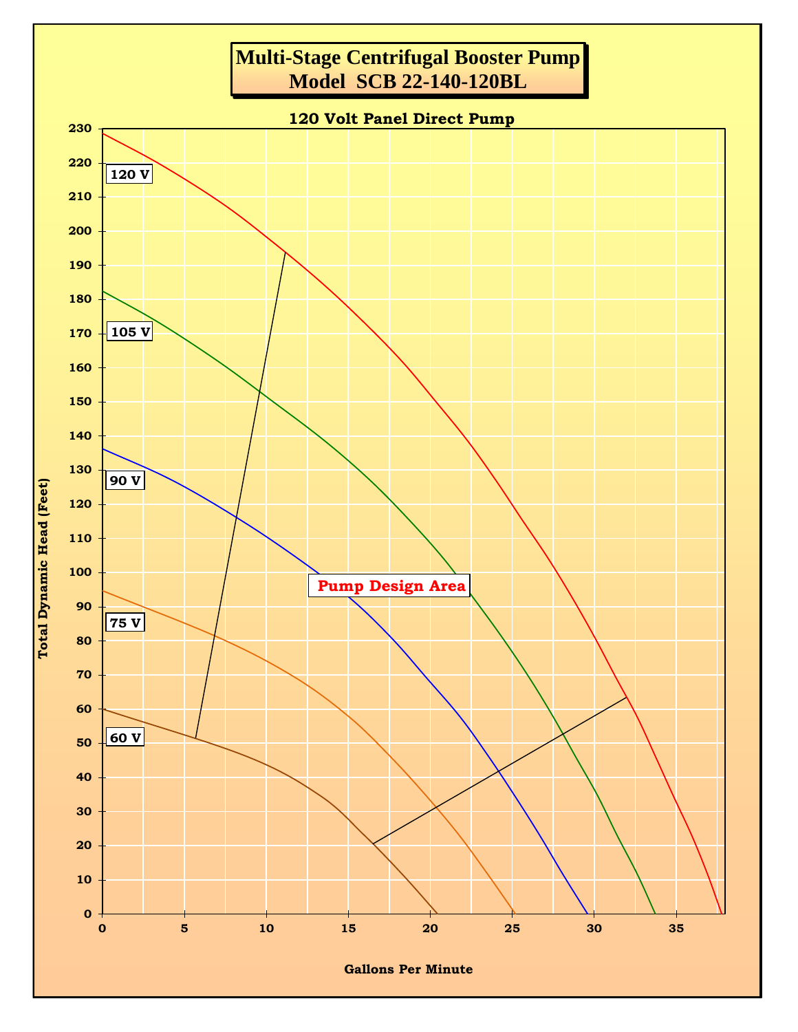